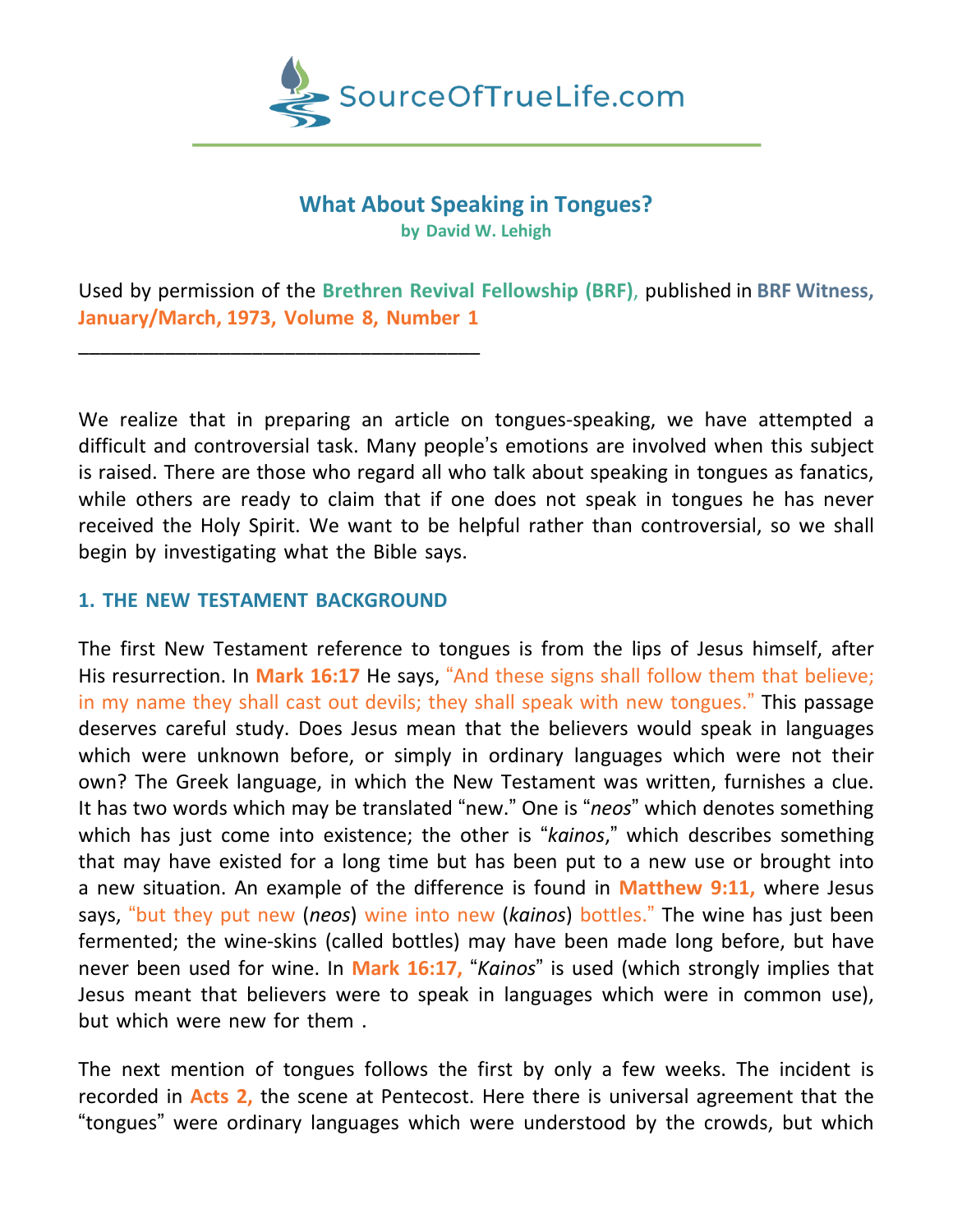

## **What About Speaking in Tongues? by David W. Lehigh**

Used by permission of the **Brethren Revival Fellowship (BRF)**, published in **BRF Witness, January/March, 1973, Volume 8, Number 1**

We realize that in preparing an article on tongues-speaking, we have attempted a difficult and controversial task. Many people's emotions are involved when this subject is raised. There are those who regard all who talk about speaking in tongues as fanatics, while others are ready to claim that if one does not speak in tongues he has never received the Holy Spirit. We want to be helpful rather than controversial, so we shall begin by investigating what the Bible says.

## **1. THE NEW TESTAMENT BACKGROUND**

\_\_\_\_\_\_\_\_\_\_\_\_\_\_\_\_\_\_\_\_\_\_\_\_\_\_\_\_\_\_\_\_\_\_\_\_\_

The first New Testament reference to tongues is from the lips of Jesus himself, after His resurrection. In **Mark 16:17** He says, "And these signs shall follow them that believe; in my name they shall cast out devils; they shall speak with new tongues." This passage deserves careful study. Does Jesus mean that the believers would speak in languages which were unknown before, or simply in ordinary languages which were not their own? The Greek language, in which the New Testament was written, furnishes a clue. It has two words which may be translated "new." One is "*neos*" which denotes something which has just come into existence; the other is "*kainos*," which describes something that may have existed for a long time but has been put to a new use or brought into a new situation. An example of the difference is found in **Matthew 9:11,** where Jesus says, "but they put new (*neos*) wine into new (*kainos*) bottles." The wine has just been fermented; the wine-skins (called bottles) may have been made long before, but have never been used for wine. In **Mark 16:17,** "*Kainos*" is used (which strongly implies that Jesus meant that believers were to speak in languages which were in common use), but which were new for them .

The next mention of tongues follows the first by only a few weeks. The incident is recorded in **Acts 2,** the scene at Pentecost. Here there is universal agreement that the "tongues" were ordinary languages which were understood by the crowds, but which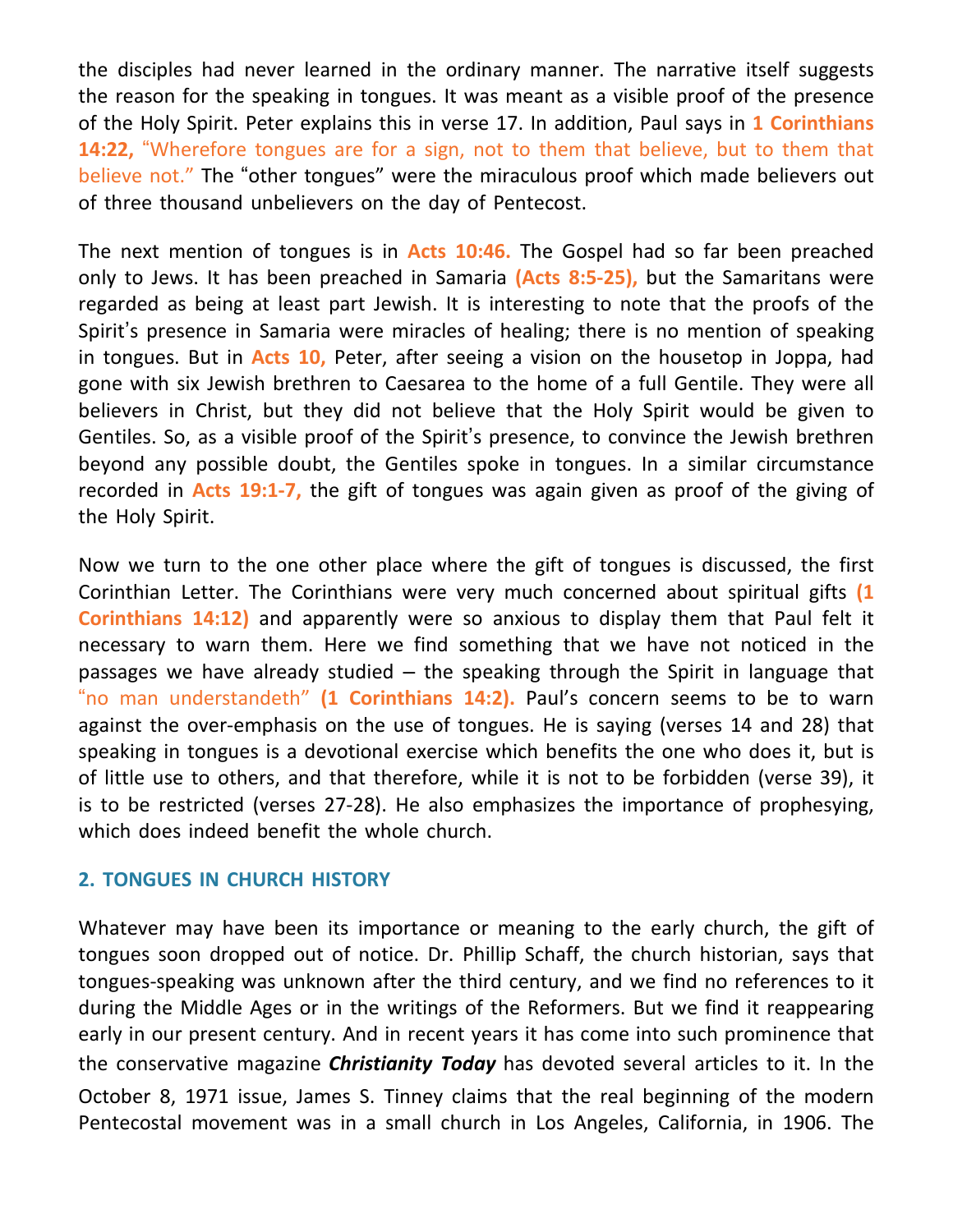the disciples had never learned in the ordinary manner. The narrative itself suggests the reason for the speaking in tongues. It was meant as a visible proof of the presence of the Holy Spirit. Peter explains this in verse 17. In addition, Paul says in **1 Corinthians 14:22,** "Wherefore tongues are for a sign, not to them that believe, but to them that believe not." The "other tongues" were the miraculous proof which made believers out of three thousand unbelievers on the day of Pentecost.

The next mention of tongues is in **Acts 10:46.** The Gospel had so far been preached only to Jews. It has been preached in Samaria **(Acts 8:5-25),** but the Samaritans were regarded as being at least part Jewish. It is interesting to note that the proofs of the Spirit's presence in Samaria were miracles of healing; there is no mention of speaking in tongues. But in **Acts 10,** Peter, after seeing a vision on the housetop in Joppa, had gone with six Jewish brethren to Caesarea to the home of a full Gentile. They were all believers in Christ, but they did not believe that the Holy Spirit would be given to Gentiles. So, as a visible proof of the Spirit's presence, to convince the Jewish brethren beyond any possible doubt, the Gentiles spoke in tongues. In a similar circumstance recorded in **Acts 19:1-7,** the gift of tongues was again given as proof of the giving of the Holy Spirit.

Now we turn to the one other place where the gift of tongues is discussed, the first Corinthian Letter. The Corinthians were very much concerned about spiritual gifts **(1 Corinthians 14:12)** and apparently were so anxious to display them that Paul felt it necessary to warn them. Here we find something that we have not noticed in the passages we have already studied – the speaking through the Spirit in language that "no man understandeth" **(1 Corinthians 14:2).** Paul's concern seems to be to warn against the over-emphasis on the use of tongues. He is saying (verses 14 and 28) that speaking in tongues is a devotional exercise which benefits the one who does it, but is of little use to others, and that therefore, while it is not to be forbidden (verse 39), it is to be restricted (verses 27-28). He also emphasizes the importance of prophesying, which does indeed benefit the whole church.

## **2. TONGUES IN CHURCH HISTORY**

Whatever may have been its importance or meaning to the early church, the gift of tongues soon dropped out of notice. Dr. Phillip Schaff, the church historian, says that tongues-speaking was unknown after the third century, and we find no references to it during the Middle Ages or in the writings of the Reformers. But we find it reappearing early in our present century. And in recent years it has come into such prominence that the conservative magazine *Christianity Today* has devoted several articles to it. In the October 8, 1971 issue, James S. Tinney claims that the real beginning of the modern Pentecostal movement was in a small church in Los Angeles, California, in 1906. The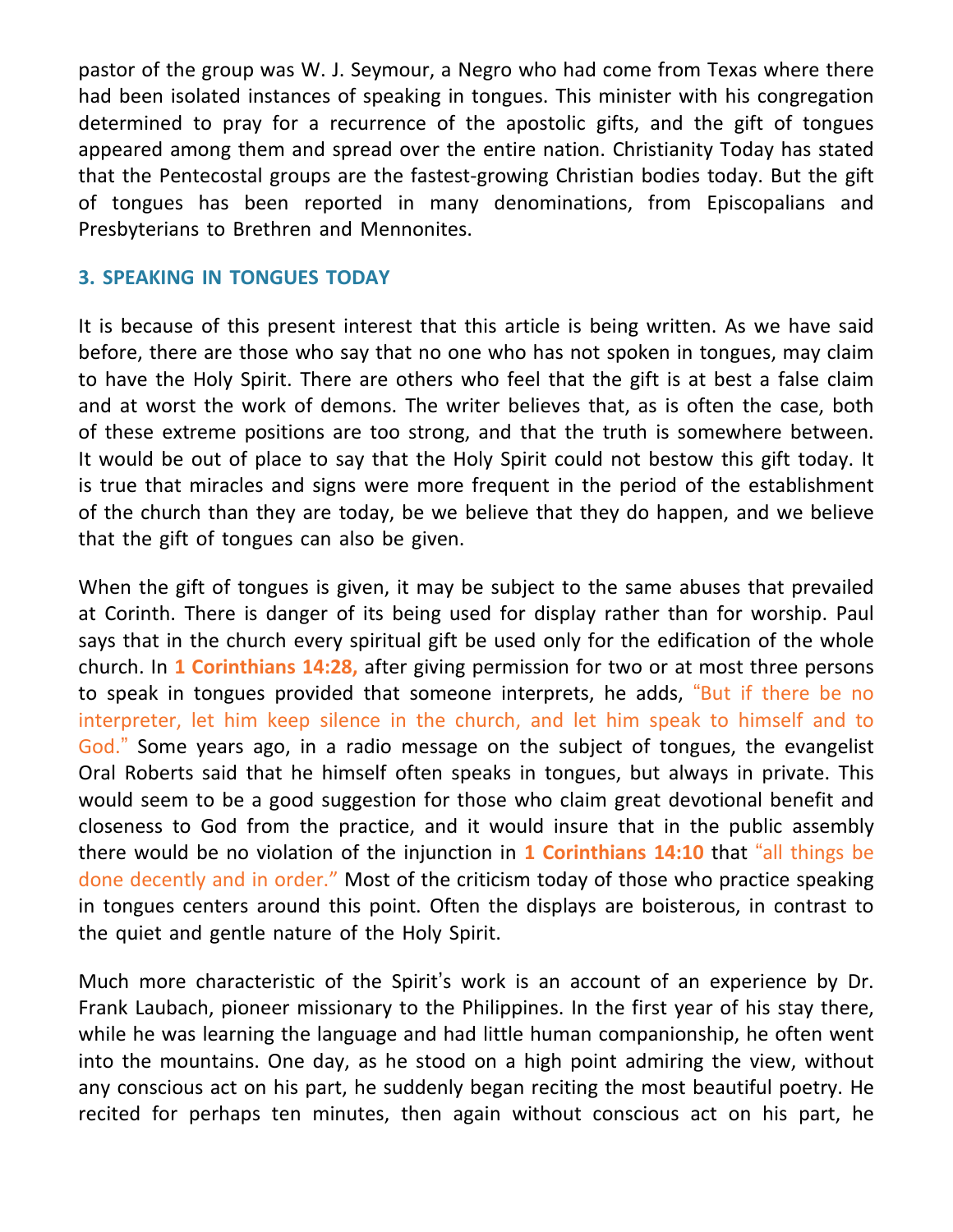pastor of the group was W. J. Seymour, a Negro who had come from Texas where there had been isolated instances of speaking in tongues. This minister with his congregation determined to pray for a recurrence of the apostolic gifts, and the gift of tongues appeared among them and spread over the entire nation. Christianity Today has stated that the Pentecostal groups are the fastest-growing Christian bodies today. But the gift of tongues has been reported in many denominations, from Episcopalians and Presbyterians to Brethren and Mennonites.

## **3. SPEAKING IN TONGUES TODAY**

It is because of this present interest that this article is being written. As we have said before, there are those who say that no one who has not spoken in tongues, may claim to have the Holy Spirit. There are others who feel that the gift is at best a false claim and at worst the work of demons. The writer believes that, as is often the case, both of these extreme positions are too strong, and that the truth is somewhere between. It would be out of place to say that the Holy Spirit could not bestow this gift today. It is true that miracles and signs were more frequent in the period of the establishment of the church than they are today, be we believe that they do happen, and we believe that the gift of tongues can also be given.

When the gift of tongues is given, it may be subject to the same abuses that prevailed at Corinth. There is danger of its being used for display rather than for worship. Paul says that in the church every spiritual gift be used only for the edification of the whole church. In **1 Corinthians 14:28,** after giving permission for two or at most three persons to speak in tongues provided that someone interprets, he adds, "But if there be no interpreter, let him keep silence in the church, and let him speak to himself and to God." Some years ago, in a radio message on the subject of tongues, the evangelist Oral Roberts said that he himself often speaks in tongues, but always in private. This would seem to be a good suggestion for those who claim great devotional benefit and closeness to God from the practice, and it would insure that in the public assembly there would be no violation of the injunction in **1 Corinthians 14:10** that "all things be done decently and in order." Most of the criticism today of those who practice speaking in tongues centers around this point. Often the displays are boisterous, in contrast to the quiet and gentle nature of the Holy Spirit.

Much more characteristic of the Spirit's work is an account of an experience by Dr. Frank Laubach, pioneer missionary to the Philippines. In the first year of his stay there, while he was learning the language and had little human companionship, he often went into the mountains. One day, as he stood on a high point admiring the view, without any conscious act on his part, he suddenly began reciting the most beautiful poetry. He recited for perhaps ten minutes, then again without conscious act on his part, he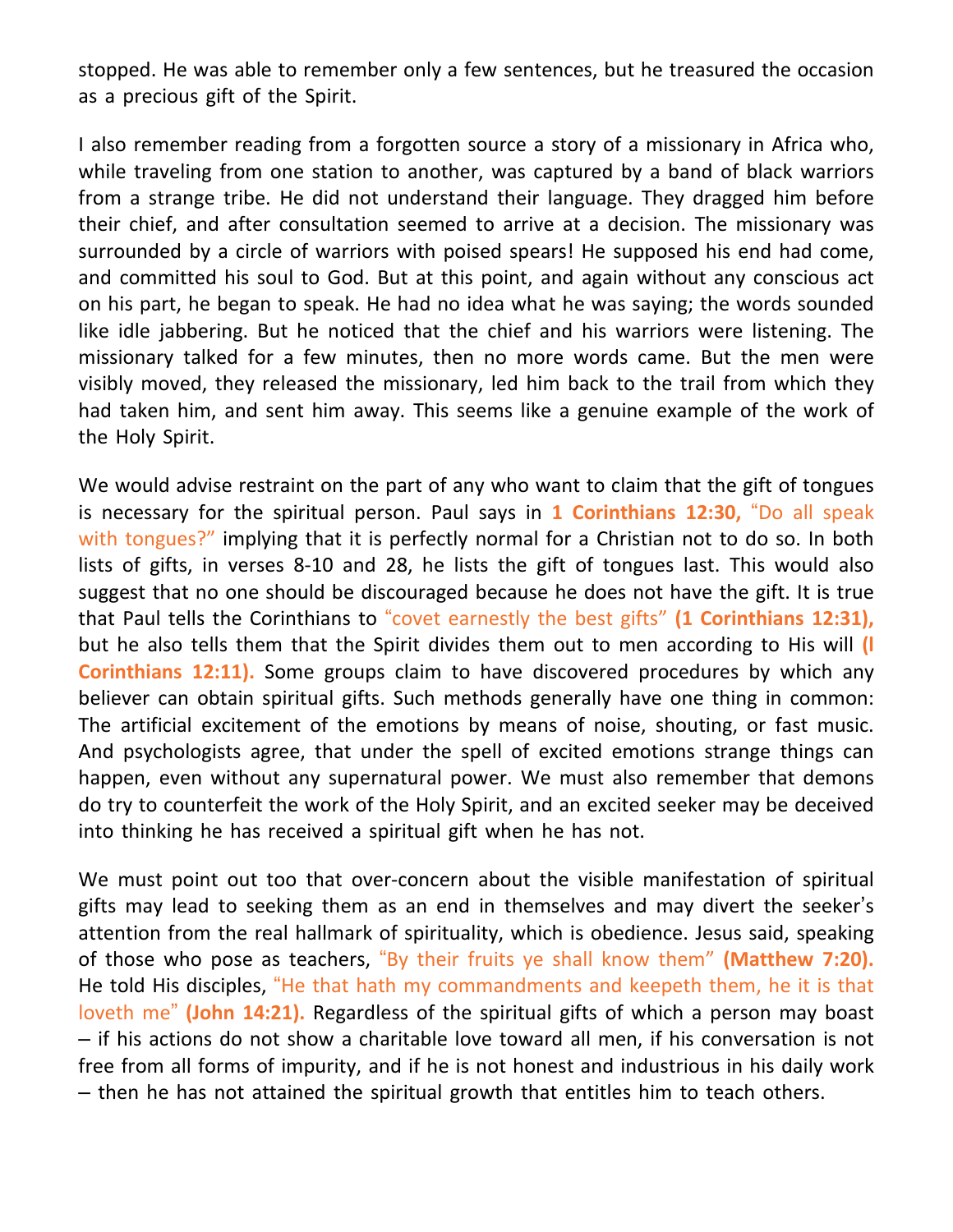stopped. He was able to remember only a few sentences, but he treasured the occasion as a precious gift of the Spirit.

I also remember reading from a forgotten source a story of a missionary in Africa who, while traveling from one station to another, was captured by a band of black warriors from a strange tribe. He did not understand their language. They dragged him before their chief, and after consultation seemed to arrive at a decision. The missionary was surrounded by a circle of warriors with poised spears! He supposed his end had come, and committed his soul to God. But at this point, and again without any conscious act on his part, he began to speak. He had no idea what he was saying; the words sounded like idle jabbering. But he noticed that the chief and his warriors were listening. The missionary talked for a few minutes, then no more words came. But the men were visibly moved, they released the missionary, led him back to the trail from which they had taken him, and sent him away. This seems like a genuine example of the work of the Holy Spirit.

We would advise restraint on the part of any who want to claim that the gift of tongues is necessary for the spiritual person. Paul says in **1 Corinthians 12:30,** "Do all speak with tongues?" implying that it is perfectly normal for a Christian not to do so. In both lists of gifts, in verses 8-10 and 28, he lists the gift of tongues last. This would also suggest that no one should be discouraged because he does not have the gift. It is true that Paul tells the Corinthians to "covet earnestly the best gifts" **(1 Corinthians 12:31),** but he also tells them that the Spirit divides them out to men according to His will **(l Corinthians 12:11).** Some groups claim to have discovered procedures by which any believer can obtain spiritual gifts. Such methods generally have one thing in common: The artificial excitement of the emotions by means of noise, shouting, or fast music. And psychologists agree, that under the spell of excited emotions strange things can happen, even without any supernatural power. We must also remember that demons do try to counterfeit the work of the Holy Spirit, and an excited seeker may be deceived into thinking he has received a spiritual gift when he has not.

We must point out too that over-concern about the visible manifestation of spiritual gifts may lead to seeking them as an end in themselves and may divert the seeker's attention from the real hallmark of spirituality, which is obedience. Jesus said, speaking of those who pose as teachers, "By their fruits ye shall know them" **(Matthew 7:20).** He told His disciples, "He that hath my commandments and keepeth them, he it is that loveth me" **(John 14:21).** Regardless of the spiritual gifts of which a person may boast – if his actions do not show a charitable love toward all men, if his conversation is not free from all forms of impurity, and if he is not honest and industrious in his daily work – then he has not attained the spiritual growth that entitles him to teach others.